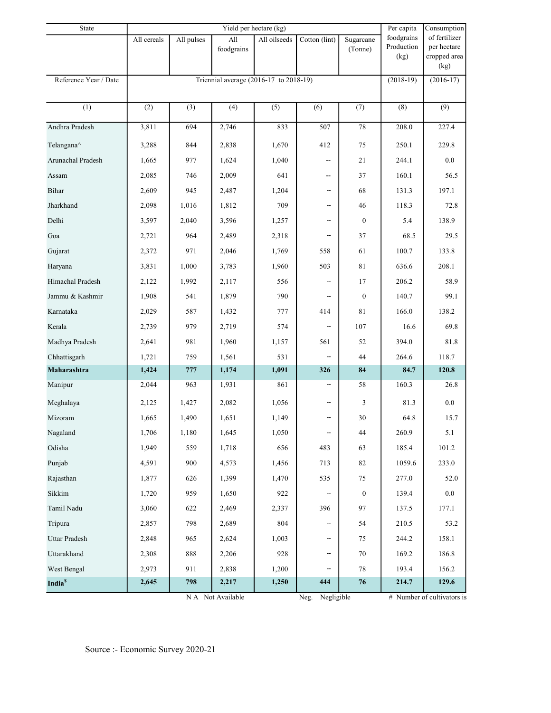| All<br>All oilseeds<br>Cotton (lint)<br>All cereals<br>All pulses<br>Sugarcane<br>Production<br>per hectare<br>foodgrains<br>(Tonne)<br>cropped area<br>(kg)<br>(kg)<br>Reference Year / Date<br>Triennial average (2016-17 to 2018-19)<br>$(2018-19)$<br>$(2016-17)$<br>$\overline{(1)}$<br>$\overline{(9)}$<br>(3)<br>(4)<br>(7)<br>(2)<br>(5)<br>(6)<br>(8)<br>Andhra Pradesh<br>3,811<br>694<br>2,746<br>833<br>507<br>$78\,$<br>208.0<br>227.4<br>412<br>250.1<br>229.8<br>Telangana^<br>3,288<br>844<br>2,838<br>1,670<br>75<br>977<br>1,624<br>244.1<br>0.0<br>Arunachal Pradesh<br>1,665<br>1,040<br>21<br>--<br>2,009<br>641<br>160.1<br>56.5<br>2,085<br>746<br>37<br>Assam<br>--<br>2,487<br>68<br>197.1<br>Bihar<br>2,609<br>945<br>1,204<br>131.3<br>--<br>Jharkhand<br>1,812<br>709<br>118.3<br>2,098<br>1,016<br>46<br>72.8<br>$\overline{\phantom{a}}$<br>Delhi<br>138.9<br>3,597<br>2,040<br>3,596<br>1,257<br>$\mathbf{0}$<br>5.4<br>--<br>2,489<br>68.5<br>29.5<br>Goa<br>2,721<br>964<br>2,318<br>37<br>--<br>971<br>2,046<br>100.7<br>133.8<br>Gujarat<br>1,769<br>558<br>61<br>2,372<br>503<br>208.1<br>Haryana<br>3,831<br>1,000<br>3,783<br>1,960<br>81<br>636.6<br>2,117<br>206.2<br>58.9<br>Himachal Pradesh<br>2,122<br>1,992<br>556<br>17<br>$\overline{\phantom{a}}$<br>541<br>790<br>140.7<br>99.1<br>Jammu & Kashmir<br>1,908<br>1,879<br>$\mathbf{0}$<br>--<br>587<br>166.0<br>138.2<br>Karnataka<br>2,029<br>1,432<br>777<br>414<br>81<br>979<br>2,719<br>107<br>69.8<br>Kerala<br>2,739<br>574<br>16.6<br>--<br>981<br>1,960<br>394.0<br>81.8<br>Madhya Pradesh<br>2,641<br>1,157<br>561<br>52<br>759<br>1,561<br>531<br>264.6<br>118.7<br>Chhattisgarh<br>1,721<br>44<br>$\overline{\phantom{a}}$<br>Maharashtra<br>$777\,$<br>84.7<br>120.8<br>1,424<br>1,174<br>1,091<br>326<br>84<br>2,044<br>861<br>160.3<br>Manipur<br>963<br>1,931<br>58<br>26.8<br>--<br>0.0<br>Meghalaya<br>2,125<br>1,427<br>2,082<br>1,056<br>3<br>81.3<br>--<br>Mizoram<br>1,665<br>1,490<br>1,651<br>1,149<br>30<br>64.8<br>15.7<br>$\overline{\phantom{a}}$<br>5.1<br>Nagaland<br>1,706<br>1,180<br>1,645<br>1,050<br>44<br>260.9<br>--<br>Odisha<br>1,949<br>559<br>656<br>483<br>185.4<br>101.2<br>1,718<br>63<br>Punjab<br>900<br>713<br>$82\,$<br>1059.6<br>233.0<br>4,591<br>4,573<br>1,456<br>277.0<br>Rajasthan<br>1,877<br>626<br>1,399<br>1,470<br>535<br>75<br>52.0<br>Sikkim<br>959<br>139.4<br>$0.0\,$<br>1,720<br>1,650<br>922<br>$\boldsymbol{0}$<br>Tamil Nadu<br>396<br>97<br>137.5<br>177.1<br>3,060<br>622<br>2,469<br>2,337<br>Tripura<br>798<br>804<br>210.5<br>53.2<br>2,857<br>2,689<br>54<br>--<br>Uttar Pradesh<br>965<br>244.2<br>158.1<br>2,624<br>1,003<br>75<br>2,848<br>--<br>888<br>928<br>169.2<br>186.8<br>Uttarakhand<br>2,308<br>2,206<br>70<br>--<br>West Bengal<br>911<br>2,838<br>1,200<br>78<br>193.4<br>156.2<br>2,973<br>--<br>798<br>214.7<br>129.6<br>India <sup>\$</sup><br>2,645<br>2,217<br>1,250<br>444<br>76<br>N A Not Available<br>Negligible<br>$#$ Number of cultivators is<br>Neg. | State |  | Per capita | Consumption |  |            |               |
|--------------------------------------------------------------------------------------------------------------------------------------------------------------------------------------------------------------------------------------------------------------------------------------------------------------------------------------------------------------------------------------------------------------------------------------------------------------------------------------------------------------------------------------------------------------------------------------------------------------------------------------------------------------------------------------------------------------------------------------------------------------------------------------------------------------------------------------------------------------------------------------------------------------------------------------------------------------------------------------------------------------------------------------------------------------------------------------------------------------------------------------------------------------------------------------------------------------------------------------------------------------------------------------------------------------------------------------------------------------------------------------------------------------------------------------------------------------------------------------------------------------------------------------------------------------------------------------------------------------------------------------------------------------------------------------------------------------------------------------------------------------------------------------------------------------------------------------------------------------------------------------------------------------------------------------------------------------------------------------------------------------------------------------------------------------------------------------------------------------------------------------------------------------------------------------------------------------------------------------------------------------------------------------------------------------------------------------------------------------------------------------------------------------------------------------------------------------------------------------------------------------------------------------------------------------------------------------------------------------------------------------------------------------------------------------------------------------------------------------------------------------------------------------------------------------------------------------------------------------------------------------------------------------------------------------------------------------------------------------------------------------------------------------------------------|-------|--|------------|-------------|--|------------|---------------|
|                                                                                                                                                                                                                                                                                                                                                                                                                                                                                                                                                                                                                                                                                                                                                                                                                                                                                                                                                                                                                                                                                                                                                                                                                                                                                                                                                                                                                                                                                                                                                                                                                                                                                                                                                                                                                                                                                                                                                                                                                                                                                                                                                                                                                                                                                                                                                                                                                                                                                                                                                                                                                                                                                                                                                                                                                                                                                                                                                                                                                                                        |       |  |            |             |  | foodgrains | of fertilizer |
|                                                                                                                                                                                                                                                                                                                                                                                                                                                                                                                                                                                                                                                                                                                                                                                                                                                                                                                                                                                                                                                                                                                                                                                                                                                                                                                                                                                                                                                                                                                                                                                                                                                                                                                                                                                                                                                                                                                                                                                                                                                                                                                                                                                                                                                                                                                                                                                                                                                                                                                                                                                                                                                                                                                                                                                                                                                                                                                                                                                                                                                        |       |  |            |             |  |            |               |
|                                                                                                                                                                                                                                                                                                                                                                                                                                                                                                                                                                                                                                                                                                                                                                                                                                                                                                                                                                                                                                                                                                                                                                                                                                                                                                                                                                                                                                                                                                                                                                                                                                                                                                                                                                                                                                                                                                                                                                                                                                                                                                                                                                                                                                                                                                                                                                                                                                                                                                                                                                                                                                                                                                                                                                                                                                                                                                                                                                                                                                                        |       |  |            |             |  |            |               |
|                                                                                                                                                                                                                                                                                                                                                                                                                                                                                                                                                                                                                                                                                                                                                                                                                                                                                                                                                                                                                                                                                                                                                                                                                                                                                                                                                                                                                                                                                                                                                                                                                                                                                                                                                                                                                                                                                                                                                                                                                                                                                                                                                                                                                                                                                                                                                                                                                                                                                                                                                                                                                                                                                                                                                                                                                                                                                                                                                                                                                                                        |       |  |            |             |  |            |               |
|                                                                                                                                                                                                                                                                                                                                                                                                                                                                                                                                                                                                                                                                                                                                                                                                                                                                                                                                                                                                                                                                                                                                                                                                                                                                                                                                                                                                                                                                                                                                                                                                                                                                                                                                                                                                                                                                                                                                                                                                                                                                                                                                                                                                                                                                                                                                                                                                                                                                                                                                                                                                                                                                                                                                                                                                                                                                                                                                                                                                                                                        |       |  |            |             |  |            |               |
|                                                                                                                                                                                                                                                                                                                                                                                                                                                                                                                                                                                                                                                                                                                                                                                                                                                                                                                                                                                                                                                                                                                                                                                                                                                                                                                                                                                                                                                                                                                                                                                                                                                                                                                                                                                                                                                                                                                                                                                                                                                                                                                                                                                                                                                                                                                                                                                                                                                                                                                                                                                                                                                                                                                                                                                                                                                                                                                                                                                                                                                        |       |  |            |             |  |            |               |
|                                                                                                                                                                                                                                                                                                                                                                                                                                                                                                                                                                                                                                                                                                                                                                                                                                                                                                                                                                                                                                                                                                                                                                                                                                                                                                                                                                                                                                                                                                                                                                                                                                                                                                                                                                                                                                                                                                                                                                                                                                                                                                                                                                                                                                                                                                                                                                                                                                                                                                                                                                                                                                                                                                                                                                                                                                                                                                                                                                                                                                                        |       |  |            |             |  |            |               |
|                                                                                                                                                                                                                                                                                                                                                                                                                                                                                                                                                                                                                                                                                                                                                                                                                                                                                                                                                                                                                                                                                                                                                                                                                                                                                                                                                                                                                                                                                                                                                                                                                                                                                                                                                                                                                                                                                                                                                                                                                                                                                                                                                                                                                                                                                                                                                                                                                                                                                                                                                                                                                                                                                                                                                                                                                                                                                                                                                                                                                                                        |       |  |            |             |  |            |               |
|                                                                                                                                                                                                                                                                                                                                                                                                                                                                                                                                                                                                                                                                                                                                                                                                                                                                                                                                                                                                                                                                                                                                                                                                                                                                                                                                                                                                                                                                                                                                                                                                                                                                                                                                                                                                                                                                                                                                                                                                                                                                                                                                                                                                                                                                                                                                                                                                                                                                                                                                                                                                                                                                                                                                                                                                                                                                                                                                                                                                                                                        |       |  |            |             |  |            |               |
|                                                                                                                                                                                                                                                                                                                                                                                                                                                                                                                                                                                                                                                                                                                                                                                                                                                                                                                                                                                                                                                                                                                                                                                                                                                                                                                                                                                                                                                                                                                                                                                                                                                                                                                                                                                                                                                                                                                                                                                                                                                                                                                                                                                                                                                                                                                                                                                                                                                                                                                                                                                                                                                                                                                                                                                                                                                                                                                                                                                                                                                        |       |  |            |             |  |            |               |
|                                                                                                                                                                                                                                                                                                                                                                                                                                                                                                                                                                                                                                                                                                                                                                                                                                                                                                                                                                                                                                                                                                                                                                                                                                                                                                                                                                                                                                                                                                                                                                                                                                                                                                                                                                                                                                                                                                                                                                                                                                                                                                                                                                                                                                                                                                                                                                                                                                                                                                                                                                                                                                                                                                                                                                                                                                                                                                                                                                                                                                                        |       |  |            |             |  |            |               |
|                                                                                                                                                                                                                                                                                                                                                                                                                                                                                                                                                                                                                                                                                                                                                                                                                                                                                                                                                                                                                                                                                                                                                                                                                                                                                                                                                                                                                                                                                                                                                                                                                                                                                                                                                                                                                                                                                                                                                                                                                                                                                                                                                                                                                                                                                                                                                                                                                                                                                                                                                                                                                                                                                                                                                                                                                                                                                                                                                                                                                                                        |       |  |            |             |  |            |               |
|                                                                                                                                                                                                                                                                                                                                                                                                                                                                                                                                                                                                                                                                                                                                                                                                                                                                                                                                                                                                                                                                                                                                                                                                                                                                                                                                                                                                                                                                                                                                                                                                                                                                                                                                                                                                                                                                                                                                                                                                                                                                                                                                                                                                                                                                                                                                                                                                                                                                                                                                                                                                                                                                                                                                                                                                                                                                                                                                                                                                                                                        |       |  |            |             |  |            |               |
|                                                                                                                                                                                                                                                                                                                                                                                                                                                                                                                                                                                                                                                                                                                                                                                                                                                                                                                                                                                                                                                                                                                                                                                                                                                                                                                                                                                                                                                                                                                                                                                                                                                                                                                                                                                                                                                                                                                                                                                                                                                                                                                                                                                                                                                                                                                                                                                                                                                                                                                                                                                                                                                                                                                                                                                                                                                                                                                                                                                                                                                        |       |  |            |             |  |            |               |
|                                                                                                                                                                                                                                                                                                                                                                                                                                                                                                                                                                                                                                                                                                                                                                                                                                                                                                                                                                                                                                                                                                                                                                                                                                                                                                                                                                                                                                                                                                                                                                                                                                                                                                                                                                                                                                                                                                                                                                                                                                                                                                                                                                                                                                                                                                                                                                                                                                                                                                                                                                                                                                                                                                                                                                                                                                                                                                                                                                                                                                                        |       |  |            |             |  |            |               |
|                                                                                                                                                                                                                                                                                                                                                                                                                                                                                                                                                                                                                                                                                                                                                                                                                                                                                                                                                                                                                                                                                                                                                                                                                                                                                                                                                                                                                                                                                                                                                                                                                                                                                                                                                                                                                                                                                                                                                                                                                                                                                                                                                                                                                                                                                                                                                                                                                                                                                                                                                                                                                                                                                                                                                                                                                                                                                                                                                                                                                                                        |       |  |            |             |  |            |               |
|                                                                                                                                                                                                                                                                                                                                                                                                                                                                                                                                                                                                                                                                                                                                                                                                                                                                                                                                                                                                                                                                                                                                                                                                                                                                                                                                                                                                                                                                                                                                                                                                                                                                                                                                                                                                                                                                                                                                                                                                                                                                                                                                                                                                                                                                                                                                                                                                                                                                                                                                                                                                                                                                                                                                                                                                                                                                                                                                                                                                                                                        |       |  |            |             |  |            |               |
|                                                                                                                                                                                                                                                                                                                                                                                                                                                                                                                                                                                                                                                                                                                                                                                                                                                                                                                                                                                                                                                                                                                                                                                                                                                                                                                                                                                                                                                                                                                                                                                                                                                                                                                                                                                                                                                                                                                                                                                                                                                                                                                                                                                                                                                                                                                                                                                                                                                                                                                                                                                                                                                                                                                                                                                                                                                                                                                                                                                                                                                        |       |  |            |             |  |            |               |
|                                                                                                                                                                                                                                                                                                                                                                                                                                                                                                                                                                                                                                                                                                                                                                                                                                                                                                                                                                                                                                                                                                                                                                                                                                                                                                                                                                                                                                                                                                                                                                                                                                                                                                                                                                                                                                                                                                                                                                                                                                                                                                                                                                                                                                                                                                                                                                                                                                                                                                                                                                                                                                                                                                                                                                                                                                                                                                                                                                                                                                                        |       |  |            |             |  |            |               |
|                                                                                                                                                                                                                                                                                                                                                                                                                                                                                                                                                                                                                                                                                                                                                                                                                                                                                                                                                                                                                                                                                                                                                                                                                                                                                                                                                                                                                                                                                                                                                                                                                                                                                                                                                                                                                                                                                                                                                                                                                                                                                                                                                                                                                                                                                                                                                                                                                                                                                                                                                                                                                                                                                                                                                                                                                                                                                                                                                                                                                                                        |       |  |            |             |  |            |               |
|                                                                                                                                                                                                                                                                                                                                                                                                                                                                                                                                                                                                                                                                                                                                                                                                                                                                                                                                                                                                                                                                                                                                                                                                                                                                                                                                                                                                                                                                                                                                                                                                                                                                                                                                                                                                                                                                                                                                                                                                                                                                                                                                                                                                                                                                                                                                                                                                                                                                                                                                                                                                                                                                                                                                                                                                                                                                                                                                                                                                                                                        |       |  |            |             |  |            |               |
|                                                                                                                                                                                                                                                                                                                                                                                                                                                                                                                                                                                                                                                                                                                                                                                                                                                                                                                                                                                                                                                                                                                                                                                                                                                                                                                                                                                                                                                                                                                                                                                                                                                                                                                                                                                                                                                                                                                                                                                                                                                                                                                                                                                                                                                                                                                                                                                                                                                                                                                                                                                                                                                                                                                                                                                                                                                                                                                                                                                                                                                        |       |  |            |             |  |            |               |
|                                                                                                                                                                                                                                                                                                                                                                                                                                                                                                                                                                                                                                                                                                                                                                                                                                                                                                                                                                                                                                                                                                                                                                                                                                                                                                                                                                                                                                                                                                                                                                                                                                                                                                                                                                                                                                                                                                                                                                                                                                                                                                                                                                                                                                                                                                                                                                                                                                                                                                                                                                                                                                                                                                                                                                                                                                                                                                                                                                                                                                                        |       |  |            |             |  |            |               |
|                                                                                                                                                                                                                                                                                                                                                                                                                                                                                                                                                                                                                                                                                                                                                                                                                                                                                                                                                                                                                                                                                                                                                                                                                                                                                                                                                                                                                                                                                                                                                                                                                                                                                                                                                                                                                                                                                                                                                                                                                                                                                                                                                                                                                                                                                                                                                                                                                                                                                                                                                                                                                                                                                                                                                                                                                                                                                                                                                                                                                                                        |       |  |            |             |  |            |               |
|                                                                                                                                                                                                                                                                                                                                                                                                                                                                                                                                                                                                                                                                                                                                                                                                                                                                                                                                                                                                                                                                                                                                                                                                                                                                                                                                                                                                                                                                                                                                                                                                                                                                                                                                                                                                                                                                                                                                                                                                                                                                                                                                                                                                                                                                                                                                                                                                                                                                                                                                                                                                                                                                                                                                                                                                                                                                                                                                                                                                                                                        |       |  |            |             |  |            |               |
|                                                                                                                                                                                                                                                                                                                                                                                                                                                                                                                                                                                                                                                                                                                                                                                                                                                                                                                                                                                                                                                                                                                                                                                                                                                                                                                                                                                                                                                                                                                                                                                                                                                                                                                                                                                                                                                                                                                                                                                                                                                                                                                                                                                                                                                                                                                                                                                                                                                                                                                                                                                                                                                                                                                                                                                                                                                                                                                                                                                                                                                        |       |  |            |             |  |            |               |
|                                                                                                                                                                                                                                                                                                                                                                                                                                                                                                                                                                                                                                                                                                                                                                                                                                                                                                                                                                                                                                                                                                                                                                                                                                                                                                                                                                                                                                                                                                                                                                                                                                                                                                                                                                                                                                                                                                                                                                                                                                                                                                                                                                                                                                                                                                                                                                                                                                                                                                                                                                                                                                                                                                                                                                                                                                                                                                                                                                                                                                                        |       |  |            |             |  |            |               |
|                                                                                                                                                                                                                                                                                                                                                                                                                                                                                                                                                                                                                                                                                                                                                                                                                                                                                                                                                                                                                                                                                                                                                                                                                                                                                                                                                                                                                                                                                                                                                                                                                                                                                                                                                                                                                                                                                                                                                                                                                                                                                                                                                                                                                                                                                                                                                                                                                                                                                                                                                                                                                                                                                                                                                                                                                                                                                                                                                                                                                                                        |       |  |            |             |  |            |               |
|                                                                                                                                                                                                                                                                                                                                                                                                                                                                                                                                                                                                                                                                                                                                                                                                                                                                                                                                                                                                                                                                                                                                                                                                                                                                                                                                                                                                                                                                                                                                                                                                                                                                                                                                                                                                                                                                                                                                                                                                                                                                                                                                                                                                                                                                                                                                                                                                                                                                                                                                                                                                                                                                                                                                                                                                                                                                                                                                                                                                                                                        |       |  |            |             |  |            |               |
|                                                                                                                                                                                                                                                                                                                                                                                                                                                                                                                                                                                                                                                                                                                                                                                                                                                                                                                                                                                                                                                                                                                                                                                                                                                                                                                                                                                                                                                                                                                                                                                                                                                                                                                                                                                                                                                                                                                                                                                                                                                                                                                                                                                                                                                                                                                                                                                                                                                                                                                                                                                                                                                                                                                                                                                                                                                                                                                                                                                                                                                        |       |  |            |             |  |            |               |
|                                                                                                                                                                                                                                                                                                                                                                                                                                                                                                                                                                                                                                                                                                                                                                                                                                                                                                                                                                                                                                                                                                                                                                                                                                                                                                                                                                                                                                                                                                                                                                                                                                                                                                                                                                                                                                                                                                                                                                                                                                                                                                                                                                                                                                                                                                                                                                                                                                                                                                                                                                                                                                                                                                                                                                                                                                                                                                                                                                                                                                                        |       |  |            |             |  |            |               |
|                                                                                                                                                                                                                                                                                                                                                                                                                                                                                                                                                                                                                                                                                                                                                                                                                                                                                                                                                                                                                                                                                                                                                                                                                                                                                                                                                                                                                                                                                                                                                                                                                                                                                                                                                                                                                                                                                                                                                                                                                                                                                                                                                                                                                                                                                                                                                                                                                                                                                                                                                                                                                                                                                                                                                                                                                                                                                                                                                                                                                                                        |       |  |            |             |  |            |               |
|                                                                                                                                                                                                                                                                                                                                                                                                                                                                                                                                                                                                                                                                                                                                                                                                                                                                                                                                                                                                                                                                                                                                                                                                                                                                                                                                                                                                                                                                                                                                                                                                                                                                                                                                                                                                                                                                                                                                                                                                                                                                                                                                                                                                                                                                                                                                                                                                                                                                                                                                                                                                                                                                                                                                                                                                                                                                                                                                                                                                                                                        |       |  |            |             |  |            |               |
|                                                                                                                                                                                                                                                                                                                                                                                                                                                                                                                                                                                                                                                                                                                                                                                                                                                                                                                                                                                                                                                                                                                                                                                                                                                                                                                                                                                                                                                                                                                                                                                                                                                                                                                                                                                                                                                                                                                                                                                                                                                                                                                                                                                                                                                                                                                                                                                                                                                                                                                                                                                                                                                                                                                                                                                                                                                                                                                                                                                                                                                        |       |  |            |             |  |            |               |
|                                                                                                                                                                                                                                                                                                                                                                                                                                                                                                                                                                                                                                                                                                                                                                                                                                                                                                                                                                                                                                                                                                                                                                                                                                                                                                                                                                                                                                                                                                                                                                                                                                                                                                                                                                                                                                                                                                                                                                                                                                                                                                                                                                                                                                                                                                                                                                                                                                                                                                                                                                                                                                                                                                                                                                                                                                                                                                                                                                                                                                                        |       |  |            |             |  |            |               |
|                                                                                                                                                                                                                                                                                                                                                                                                                                                                                                                                                                                                                                                                                                                                                                                                                                                                                                                                                                                                                                                                                                                                                                                                                                                                                                                                                                                                                                                                                                                                                                                                                                                                                                                                                                                                                                                                                                                                                                                                                                                                                                                                                                                                                                                                                                                                                                                                                                                                                                                                                                                                                                                                                                                                                                                                                                                                                                                                                                                                                                                        |       |  |            |             |  |            |               |
|                                                                                                                                                                                                                                                                                                                                                                                                                                                                                                                                                                                                                                                                                                                                                                                                                                                                                                                                                                                                                                                                                                                                                                                                                                                                                                                                                                                                                                                                                                                                                                                                                                                                                                                                                                                                                                                                                                                                                                                                                                                                                                                                                                                                                                                                                                                                                                                                                                                                                                                                                                                                                                                                                                                                                                                                                                                                                                                                                                                                                                                        |       |  |            |             |  |            |               |

eg. Negligi